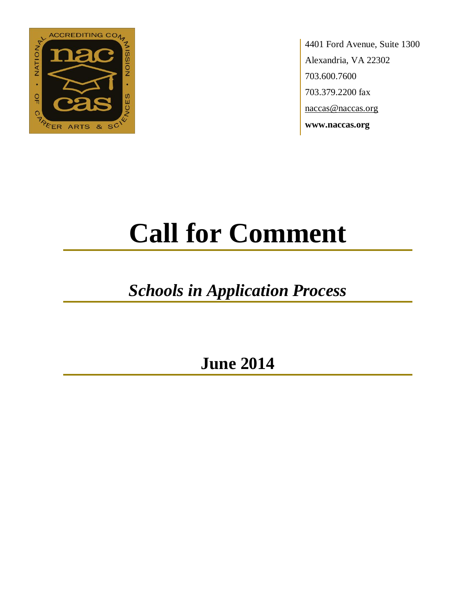

4401 Ford Avenue, Suite 1300 Alexandria, VA 22302 703.600.7600 703.379.2200 fax naccas@naccas.org **www.naccas.org**

# **Call for Comment**

## *Schools in Application Process*

**June 2014**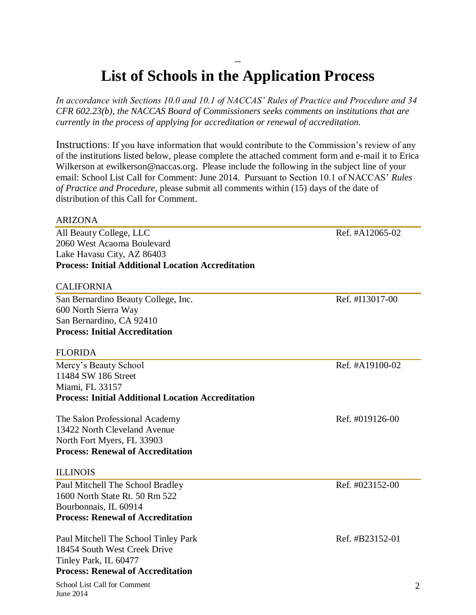#### -- **List of Schools in the Application Process**

*In accordance with Sections 10.0 and 10.1 of NACCAS' Rules of Practice and Procedure and 34 CFR 602.23(b), the NACCAS Board of Commissioners seeks comments on institutions that are currently in the process of applying for accreditation or renewal of accreditation.*

Instructions: If you have information that would contribute to the Commission's review of any of the institutions listed below, please complete the attached comment form and e-mail it to Erica Wilkerson at ewilkerson@naccas.org. Please include the following in the subject line of your email: School List Call for Comment: June 2014. Pursuant to Section 10.1 of NACCAS' *Rules of Practice and Procedure*, please submit all comments within (15) days of the date of distribution of this Call for Comment.

#### ARIZONA

All Beauty College, LLC Ref. #A12065-02 2060 West Acaoma Boulevard Lake Havasu City, AZ 86403 **Process: Initial Additional Location Accreditation**

#### CALIFORNIA

San Bernardino Beauty College, Inc. Ref. #I13017-00 600 North Sierra Way San Bernardino, CA 92410 **Process: Initial Accreditation**

#### FLORIDA

Mercy's Beauty School Ref. #A19100-02 11484 SW 186 Street Miami, FL 33157 **Process: Initial Additional Location Accreditation**

The Salon Professional Academy Ref. #019126-00 13422 North Cleveland Avenue North Fort Myers, FL 33903 **Process: Renewal of Accreditation**

#### ILLINOIS

Paul Mitchell The School Bradley Ref. #023152-00 1600 North State Rt. 50 Rm 522 Bourbonnais, IL 60914 **Process: Renewal of Accreditation**

Paul Mitchell The School Tinley Park Ref. #B23152-01 18454 South West Creek Drive Tinley Park, IL 60477 **Process: Renewal of Accreditation**

School List Call for Comment June 2014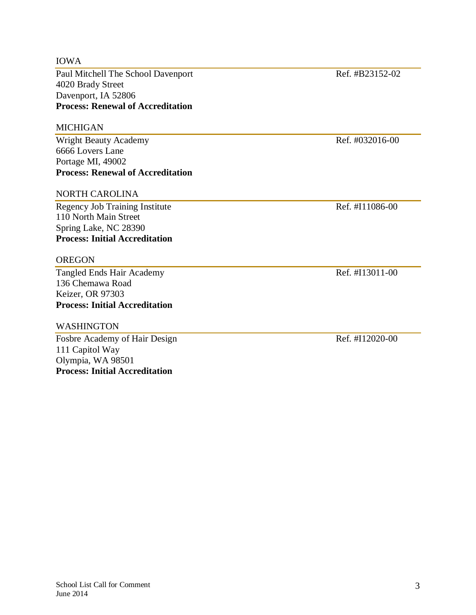#### IOWA

Paul Mitchell The School Davenport Ref. #B23152-02 4020 Brady Street Davenport, IA 52806 **Process: Renewal of Accreditation**

#### MICHIGAN

Wright Beauty Academy **Ref.** #032016-00 6666 Lovers Lane Portage MI, 49002 **Process: Renewal of Accreditation**

#### NORTH CAROLINA

Regency Job Training Institute Ref. #I11086-00 110 North Main Street Spring Lake, NC 28390 **Process: Initial Accreditation**

#### OREGON

Tangled Ends Hair Academy Ref. #I13011-00 136 Chemawa Road Keizer, OR 97303 **Process: Initial Accreditation**

#### WASHINGTON

Fosbre Academy of Hair Design Ref. #I12020-00 111 Capitol Way Olympia, WA 98501 **Process: Initial Accreditation**